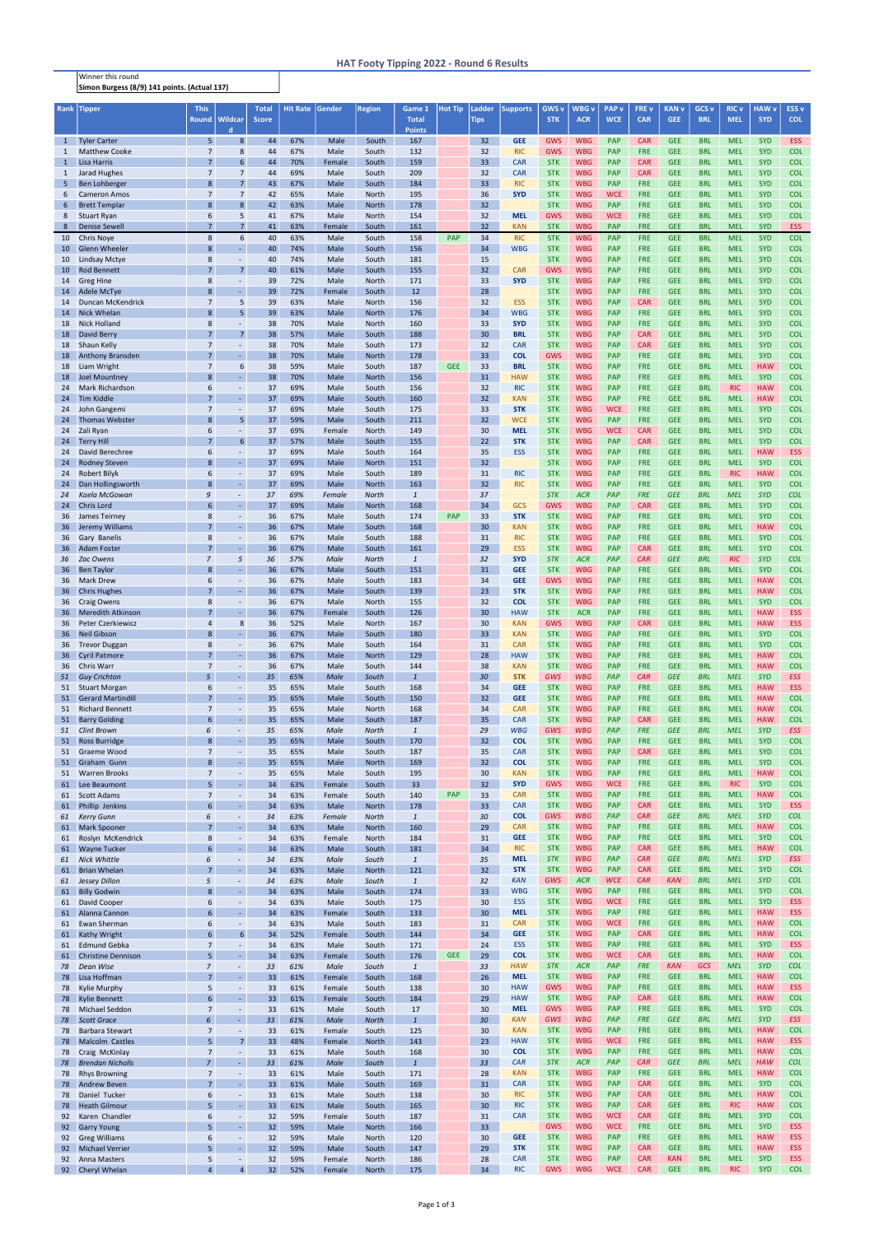| <b>Rank</b>       | <b>Tipper</b>                                    | <b>This</b><br><b>Round</b>      | Wildcar                                      | <b>Total</b><br><b>Score</b> | <b>Hit Rate</b> | Gender           | <b>Region</b>         | Game 1<br><b>Total</b> | <b>Hot Tip</b> | Ladder<br><b>Tips</b> | <b>Supports</b>          | <b>GWS v</b><br><b>STK</b> | <b>WBG</b> v<br><b>ACR</b> | <b>PAP</b> v<br><b>WCE</b> | <b>FREV</b><br><b>CAR</b> | <b>KAN v</b><br><b>GEE</b> | GCS <sub>v</sub><br><b>BRL</b> | <b>RIC v</b><br><b>MEL</b> | <b>HAW</b> v<br><b>SYD</b> | ESS <sub>v</sub><br><b>COL</b> |
|-------------------|--------------------------------------------------|----------------------------------|----------------------------------------------|------------------------------|-----------------|------------------|-----------------------|------------------------|----------------|-----------------------|--------------------------|----------------------------|----------------------------|----------------------------|---------------------------|----------------------------|--------------------------------|----------------------------|----------------------------|--------------------------------|
|                   |                                                  |                                  | d                                            |                              |                 |                  |                       | <b>Points</b>          |                |                       |                          |                            |                            |                            |                           |                            |                                |                            |                            |                                |
| $\mathbf{1}$<br>1 | <b>Tyler Carter</b><br><b>Matthew Cooke</b>      | 5<br>$\overline{7}$              | 8<br>8                                       | 44<br>44                     | 67%<br>67%      | Male<br>Male     | South<br>South        | 167<br>132             |                | 32<br>32              | <b>GEE</b><br><b>RIC</b> | <b>GWS</b><br><b>GWS</b>   | <b>WBG</b><br><b>WBG</b>   | <b>PAP</b><br>PAP          | <b>CAR</b><br><b>FRE</b>  | <b>GEE</b><br><b>GEE</b>   | <b>BRL</b><br><b>BRL</b>       | <b>MEL</b><br><b>MEL</b>   | <b>SYD</b><br><b>SYD</b>   | <b>ESS</b><br><b>COL</b>       |
| $\mathbf{1}$      | <b>Lisa Harris</b>                               | $\overline{7}$                   | 6                                            | 44                           | 70%             | Female           | South                 | 159                    |                | 33                    | <b>CAR</b>               | <b>STK</b>                 | <b>WBG</b>                 | PAP                        | <b>CAR</b>                | <b>GEE</b>                 | <b>BRL</b>                     | <b>MEL</b>                 | <b>SYD</b>                 | <b>COL</b>                     |
| $\mathbf{1}$      | Jarad Hughes                                     | $\overline{7}$                   | $\overline{7}$                               | 44                           | 69%             | Male             | South                 | 209                    |                | 32                    | <b>CAR</b>               | <b>STK</b>                 | <b>WBG</b>                 | PAP                        | <b>CAR</b>                | <b>GEE</b>                 | <b>BRL</b>                     | <b>MEL</b>                 | <b>SYD</b>                 | <b>COL</b>                     |
| 5<br>6            | Ben Lohberger<br><b>Cameron Amos</b>             | 8<br>$\overline{7}$              | $\overline{7}$<br>$\overline{7}$             | 43<br>42                     | 67%<br>65%      | Male<br>Male     | South<br>North        | 184<br>195             |                | 33 <sup>2</sup><br>36 | <b>RIC</b><br><b>SYD</b> | <b>STK</b><br><b>STK</b>   | <b>WBG</b><br><b>WBG</b>   | PAP<br><b>WCE</b>          | <b>FRE</b><br><b>FRE</b>  | <b>GEE</b><br><b>GEE</b>   | <b>BRL</b><br><b>BRL</b>       | <b>MEL</b><br><b>MEL</b>   | <b>SYD</b><br><b>SYD</b>   | <b>COL</b><br><b>COL</b>       |
| 6                 | <b>Brett Templar</b>                             | 8                                | 8                                            | 42                           | 63%             | Male             | North                 | 178                    |                | 32                    |                          | <b>STK</b>                 | <b>WBG</b>                 | <b>PAP</b>                 | <b>FRE</b>                | <b>GEE</b>                 | <b>BRL</b>                     | <b>MEL</b>                 | <b>SYD</b>                 | <b>COL</b>                     |
| 8                 | <b>Stuart Ryan</b>                               | 6<br>$\overline{7}$              | 5                                            | 41                           | 67%             | Male             | North                 | 154                    |                | 32                    | <b>MEL</b>               | <b>GWS</b>                 | <b>WBG</b><br><b>WBG</b>   | <b>WCE</b><br>PAP          | <b>FRE</b><br><b>FRE</b>  | <b>GEE</b>                 | <b>BRL</b><br><b>BRL</b>       | <b>MEL</b>                 | <b>SYD</b><br><b>SYD</b>   | <b>COL</b>                     |
| 8<br>10           | <b>Denise Sewell</b><br><b>Chris Nove</b>        | 8                                | $\overline{7}$<br>6                          | 41<br>40                     | 63%<br>63%      | Female<br>Male   | South<br>South        | 161<br>158             | <b>PAP</b>     | 32<br>34              | <b>KAN</b><br><b>RIC</b> | <b>STK</b><br><b>STK</b>   | <b>WBG</b>                 | PAP                        | <b>FRE</b>                | <b>GEE</b><br><b>GEE</b>   | <b>BRL</b>                     | <b>MEL</b><br><b>MEL</b>   | <b>SYD</b>                 | <b>ESS</b><br><b>COL</b>       |
| 10                | <b>Glenn Wheeler</b>                             | 8                                | $\omega$                                     | 40                           | 74%             | Male             | South                 | 156                    |                | 34                    | <b>WBG</b>               | <b>STK</b>                 | <b>WBG</b>                 | PAP                        | <b>FRE</b>                | <b>GEE</b>                 | <b>BRL</b>                     | <b>MEL</b>                 | <b>SYD</b>                 | <b>COL</b>                     |
| 10                | Lindsay Mctye                                    | 8<br>$\overline{7}$              | $\omega$                                     | 40                           | 74%             | Male             | South                 | 181                    |                | 15                    |                          | <b>STK</b>                 | <b>WBG</b>                 | PAP                        | <b>FRE</b>                | <b>GEE</b>                 | <b>BRL</b>                     | <b>MEL</b>                 | <b>SYD</b>                 | <b>COL</b>                     |
| 10<br>14          | <b>Rod Bennett</b><br><b>Greg Hine</b>           | 8                                | $\overline{7}$<br>$\sim$                     | 40<br>39                     | 61%<br>72%      | Male<br>Male     | South<br>North        | 155<br>171             |                | 32<br>33              | <b>CAR</b><br><b>SYD</b> | <b>GWS</b><br><b>STK</b>   | <b>WBG</b><br><b>WBG</b>   | PAP<br>PAP                 | <b>FRE</b><br><b>FRE</b>  | <b>GEE</b><br><b>GEE</b>   | <b>BRL</b><br><b>BRL</b>       | <b>MEL</b><br><b>MEL</b>   | <b>SYD</b><br><b>SYD</b>   | <b>COL</b><br><b>COL</b>       |
| 14                | Adele McTye                                      | 8                                | $\omega$                                     | 39                           | 72%             | Female           | South                 | 12                     |                | 28                    |                          | <b>STK</b>                 | <b>WBG</b>                 | <b>PAP</b>                 | <b>FRE</b>                | <b>GEE</b>                 | <b>BRL</b>                     | <b>MEL</b>                 | <b>SYD</b>                 | <b>COL</b>                     |
| 14                | Duncan McKendrick<br><b>Nick Whelan</b>          | $\overline{7}$<br>8              | 5<br>5                                       | 39                           | 63%<br>63%      | Male             | North                 | 156                    |                | 32<br>34              | <b>ESS</b><br><b>WBG</b> | <b>STK</b><br><b>STK</b>   | <b>WBG</b><br><b>WBG</b>   | PAP<br>PAP                 | <b>CAR</b><br><b>FRE</b>  | <b>GEE</b><br><b>GEE</b>   | <b>BRL</b><br><b>BRL</b>       | <b>MEL</b><br><b>MEL</b>   | <b>SYD</b><br><b>SYD</b>   | <b>COL</b><br><b>COL</b>       |
| 14<br>18          | <b>Nick Holland</b>                              | 8                                | $\overline{\phantom{a}}$                     | 39<br>38                     | 70%             | Male<br>Male     | <b>North</b><br>North | 176<br>160             |                | 33                    | <b>SYD</b>               | <b>STK</b>                 | <b>WBG</b>                 | <b>PAP</b>                 | <b>FRE</b>                | <b>GEE</b>                 | <b>BRL</b>                     | <b>MEL</b>                 | <b>SYD</b>                 | <b>COL</b>                     |
| 18                | David Berry                                      | $\overline{7}$                   | $\overline{7}$                               | 38                           | 57%             | Male             | South                 | 188                    |                | 30                    | <b>BRL</b>               | <b>STK</b>                 | <b>WBG</b>                 | PAP                        | <b>CAR</b>                | <b>GEE</b>                 | <b>BRL</b>                     | <b>MEL</b>                 | <b>SYD</b>                 | <b>COL</b>                     |
| 18<br>18          | Shaun Kelly<br>Anthony Bransden                  | $\overline{7}$<br>$\overline{7}$ | $\omega$<br>$\omega$                         | 38<br>38                     | 70%<br>70%      | Male<br>Male     | South<br>North        | 173<br>178             |                | 32<br>33              | <b>CAR</b><br><b>COL</b> | <b>STK</b><br><b>GWS</b>   | <b>WBG</b><br><b>WBG</b>   | PAP<br><b>PAP</b>          | <b>CAR</b><br><b>FRE</b>  | <b>GEE</b><br><b>GEE</b>   | <b>BRL</b><br><b>BRL</b>       | <b>MEL</b><br><b>MEL</b>   | <b>SYD</b><br><b>SYD</b>   | <b>COL</b><br><b>COL</b>       |
| 18                | Liam Wright                                      | $\overline{7}$                   | 6                                            | 38                           | 59%             | Male             | South                 | 187                    | <b>GEE</b>     | 33                    | <b>BRL</b>               | <b>STK</b>                 | <b>WBG</b>                 | <b>PAP</b>                 | <b>FRE</b>                | <b>GEE</b>                 | <b>BRL</b>                     | <b>MEL</b>                 | <b>HAW</b>                 | <b>COL</b>                     |
| 18                | <b>Joel Mountney</b>                             | 8                                | $\sim$                                       | 38                           | 70%             | Male             | North                 | 156                    |                | 31                    | <b>HAW</b>               | <b>STK</b>                 | <b>WBG</b>                 | PAP                        | <b>FRE</b>                | <b>GEE</b>                 | <b>BRL</b>                     | <b>MEL</b>                 | <b>SYD</b>                 | <b>COL</b>                     |
| 24<br>24          | <b>Mark Richardson</b><br><b>Tim Kiddle</b>      | 6<br>$\overline{7}$              | $\overline{\phantom{a}}$<br>$\omega$         | 37<br>37                     | 69%<br>69%      | Male<br>Male     | South<br>South        | 156<br>160             |                | 32<br>32              | <b>RIC</b><br><b>KAN</b> | <b>STK</b><br><b>STK</b>   | <b>WBG</b><br><b>WBG</b>   | <b>PAP</b><br>PAP          | <b>FRE</b><br><b>FRE</b>  | <b>GEE</b><br><b>GEE</b>   | <b>BRL</b><br><b>BRL</b>       | <b>RIC</b><br><b>MEL</b>   | <b>HAW</b><br><b>HAW</b>   | <b>COL</b><br><b>COL</b>       |
| 24                | John Gangemi                                     | $\overline{7}$                   | $\sim$                                       | 37                           | 69%             | Male             | South                 | 175                    |                | 33                    | <b>STK</b>               | <b>STK</b>                 | <b>WBG</b>                 | <b>WCE</b>                 | <b>FRE</b>                | <b>GEE</b>                 | <b>BRL</b>                     | <b>MEL</b>                 | <b>SYD</b>                 | <b>COL</b>                     |
| 24                | <b>Thomas Webster</b><br>Zali Ryan               | 8<br>6                           | 5<br>$\omega$                                | 37<br>37                     | 59%<br>69%      | Male<br>Female   | South<br>North        | 211<br>149             |                | 32<br>30              | <b>WCE</b><br><b>MEL</b> | <b>STK</b><br><b>STK</b>   | <b>WBG</b><br><b>WBG</b>   | PAP<br><b>WCE</b>          | <b>FRE</b><br><b>CAR</b>  | <b>GEE</b><br><b>GEE</b>   | <b>BRL</b><br><b>BRL</b>       | <b>MEL</b><br><b>MEL</b>   | <b>SYD</b><br><b>SYD</b>   | <b>COL</b><br><b>COL</b>       |
| 24<br>24          | <b>Terry Hill</b>                                | $\overline{7}$                   | 6                                            | 37                           | 57%             | Male             | South                 | 155                    |                | 22                    | <b>STK</b>               | <b>STK</b>                 | <b>WBG</b>                 | PAP                        | <b>CAR</b>                | <b>GEE</b>                 | <b>BRL</b>                     | <b>MEL</b>                 | <b>SYD</b>                 | <b>COL</b>                     |
| 24                | David Berechree                                  | 6                                | $\overline{\phantom{a}}$                     | 37                           | 69%             | Male             | South                 | 164                    |                | 35                    | <b>ESS</b>               | <b>STK</b>                 | <b>WBG</b>                 | PAP                        | <b>FRE</b>                | <b>GEE</b>                 | <b>BRL</b>                     | <b>MEL</b>                 | <b>HAW</b>                 | <b>ESS</b>                     |
| 24<br>24          | <b>Rodney Steven</b><br>Robert Bilyk             | 8<br>6                           | $\omega$<br>$\overline{\phantom{a}}$         | 37<br>37                     | 69%<br>69%      | Male<br>Male     | North<br>South        | 151<br>189             |                | 32<br>31              | <b>RIC</b>               | <b>STK</b><br><b>STK</b>   | <b>WBG</b><br><b>WBG</b>   | PAP<br><b>PAP</b>          | <b>FRE</b><br><b>FRE</b>  | <b>GEE</b><br><b>GEE</b>   | <b>BRL</b><br><b>BRL</b>       | <b>MEL</b><br><b>RIC</b>   | <b>SYD</b><br><b>HAW</b>   | <b>COL</b><br><b>COL</b>       |
| 24                | Dan Hollingsworth                                | 8                                | $\omega$                                     | 37                           | 69%             | Male             | North                 | 163                    |                | 32                    | <b>RIC</b>               | <b>STK</b>                 | <b>WBG</b>                 | <b>PAP</b>                 | <b>FRE</b>                | <b>GEE</b>                 | <b>BRL</b>                     | <b>MEL</b>                 | <b>SYD</b>                 | <b>COL</b>                     |
| 24                | Kaela McGowan                                    | 9                                | $\Box$                                       | 37                           | 69%             | Female           | <b>North</b>          | $\mathbf{1}$           |                | 37                    |                          | <b>STK</b>                 | <b>ACR</b>                 | PAP                        | <b>FRE</b>                | <b>GEE</b>                 | <b>BRL</b>                     | <b>MEL</b>                 | <b>SYD</b>                 | <b>COL</b>                     |
| 24<br>36          | <b>Chris Lord</b><br>James Teirney               | 6<br>8                           | $\omega$<br>$\overline{\phantom{a}}$         | 37<br>36                     | 69%<br>67%      | Male<br>Male     | North<br>South        | 168<br>174             | <b>PAP</b>     | 34<br>33              | GCS<br><b>STK</b>        | <b>GWS</b><br><b>STK</b>   | <b>WBG</b><br><b>WBG</b>   | PAP<br>PAP                 | <b>CAR</b><br><b>FRE</b>  | <b>GEE</b><br><b>GEE</b>   | <b>BRL</b><br><b>BRL</b>       | <b>MEL</b><br><b>MEL</b>   | <b>SYD</b><br><b>SYD</b>   | <b>COL</b><br><b>COL</b>       |
| 36                | Jeremy Williams                                  | $\overline{7}$                   | $\omega$                                     | 36                           | 67%             | Male             | South                 | 168                    |                | 30                    | <b>KAN</b>               | <b>STK</b>                 | <b>WBG</b>                 | PAP                        | <b>FRE</b>                | <b>GEE</b>                 | <b>BRL</b>                     | <b>MEL</b>                 | <b>HAW</b>                 | <b>COL</b>                     |
| 36                | Gary Banelis                                     | 8                                | $\sim$                                       | 36                           | 67%             | Male             | South                 | 188                    |                | 31                    | <b>RIC</b>               | <b>STK</b>                 | <b>WBG</b>                 | <b>PAP</b>                 | <b>FRE</b>                | <b>GEE</b>                 | <b>BRL</b>                     | <b>MEL</b>                 | <b>SYD</b>                 | <b>COL</b>                     |
| 36                | <b>Adam Foster</b><br>36 Zac Owens               | $\overline{7}$<br>$\overline{7}$ | $\omega$<br>5                                | 36<br>36                     | 67%<br>57%      | Male<br>Male     | South<br><b>North</b> | 161<br>$\mathbf{1}$    |                | 29<br>32              | <b>ESS</b><br><b>SYD</b> | <b>STK</b><br><b>STK</b>   | <b>WBG</b><br><b>ACR</b>   | <b>PAP</b><br>PAP          | <b>CAR</b><br><b>CAR</b>  | <b>GEE</b><br><b>GEE</b>   | <b>BRL</b><br><b>BRL</b>       | <b>MEL</b><br><b>RIC</b>   | <b>SYD</b><br><b>SYD</b>   | <b>COL</b><br><b>COL</b>       |
|                   | 36 Ben Taylor                                    | 8                                |                                              | 36                           | 67%             | Male             | South                 | 151                    |                | 31                    | <b>GEE</b>               | <b>STK</b>                 | <b>WBG</b>                 | PAP                        | <b>FRE</b>                | <b>GEE</b>                 | <b>BRL</b>                     | <b>MEL</b>                 | SYD                        | <b>COL</b>                     |
| 36                | <b>Mark Drew</b>                                 | 6                                | $\overline{\phantom{a}}$                     | 36                           | 67%             | Male             | South                 | 183                    |                | 34                    | <b>GEE</b>               | <b>GWS</b>                 | <b>WBG</b>                 | <b>PAP</b>                 | <b>FRE</b>                | <b>GEE</b>                 | <b>BRL</b>                     | <b>MEL</b>                 | <b>HAW</b>                 | <b>COL</b>                     |
| 36<br>36          | <b>Chris Hughes</b><br><b>Craig Owens</b>        | $\overline{7}$<br>8              | $\omega$<br>$\sim$                           | 36<br>36                     | 67%<br>67%      | Male<br>Male     | South<br>North        | 139<br>155             |                | 23<br>32              | <b>STK</b><br><b>COL</b> | <b>STK</b><br><b>STK</b>   | <b>WBG</b><br><b>WBG</b>   | <b>PAP</b><br>PAP          | <b>FRE</b><br><b>FRE</b>  | <b>GEE</b><br><b>GEE</b>   | <b>BRL</b><br><b>BRL</b>       | <b>MEL</b><br><b>MEL</b>   | <b>HAW</b><br><b>SYD</b>   | <b>COL</b><br><b>COL</b>       |
| 36                | <b>Meredith Atkinson</b>                         | $\overline{7}$                   | $\omega$                                     | 36                           | 67%             | Female           | South                 | 126                    |                | 30                    | <b>HAW</b>               | <b>STK</b>                 | <b>ACR</b>                 | PAP                        | <b>FRE</b>                | <b>GEE</b>                 | <b>BRL</b>                     | <b>MEL</b>                 | <b>HAW</b>                 | ESS                            |
| 36<br>36          | <b>Peter Czerkiewicz</b><br><b>Neil Gibson</b>   | $\overline{4}$<br>8              | 8<br>$\omega$                                | 36<br>36                     | 52%<br>67%      | Male<br>Male     | North<br>South        | 167<br>180             |                | 30<br>33              | <b>KAN</b><br><b>KAN</b> | <b>GWS</b><br><b>STK</b>   | <b>WBG</b><br><b>WBG</b>   | <b>PAP</b><br><b>PAP</b>   | <b>CAR</b><br><b>FRE</b>  | <b>GEE</b><br><b>GEE</b>   | <b>BRL</b><br><b>BRL</b>       | <b>MEL</b><br><b>MEL</b>   | <b>HAW</b><br><b>SYD</b>   | <b>ESS</b><br><b>COL</b>       |
| 36                | <b>Trevor Duggan</b>                             | 8                                | $\overline{\phantom{a}}$                     | 36                           | 67%             | Male             | South                 | 164                    |                | 31                    | <b>CAR</b>               | <b>STK</b>                 | <b>WBG</b>                 | PAP                        | <b>FRE</b>                | <b>GEE</b>                 | <b>BRL</b>                     | <b>MEL</b>                 | <b>SYD</b>                 | <b>COL</b>                     |
| 36                | <b>Cyril Patmore</b>                             | $\overline{7}$                   | ä,                                           | 36                           | 67%             | Male             | <b>North</b>          | 129                    |                | 28                    | <b>HAW</b>               | <b>STK</b>                 | <b>WBG</b>                 | PAP                        | <b>FRE</b>                | <b>GEE</b>                 | <b>BRL</b>                     | <b>MEL</b>                 | <b>HAW</b>                 | <b>COL</b>                     |
| 36<br>51          | Chris Warr<br><b>Guy Crichton</b>                | $\overline{7}$<br>5              | $\sim$<br>÷.                                 | 36<br>35                     | 67%<br>65%      | Male<br>Male     | South<br>South        | 144<br>$\overline{1}$  |                | 38<br>30              | <b>KAN</b><br><b>STK</b> | <b>STK</b><br>GWS          | <b>WBG</b><br><b>WBG</b>   | <b>PAP</b><br>PAP          | <b>FRE</b><br><b>CAR</b>  | <b>GEE</b><br><b>GEE</b>   | <b>BRL</b><br><b>BRL</b>       | <b>MEL</b><br><b>MEL</b>   | <b>HAW</b><br><b>SYD</b>   | <b>COL</b><br>ESS              |
| 51                | <b>Stuart Morgan</b>                             | 6                                | $\sim$                                       | 35                           | 65%             | Male             | South                 | 168                    |                | 34                    | <b>GEE</b>               | <b>STK</b>                 | <b>WBG</b>                 | <b>PAP</b>                 | <b>FRE</b>                | <b>GEE</b>                 | <b>BRL</b>                     | <b>MEL</b>                 | <b>HAW</b>                 | ESS                            |
| 51                | <b>Gerard Martindill</b>                         | $\overline{7}$                   | $\omega$                                     | 35                           | 65%             | Male             | South                 | 150                    |                | 32                    | <b>GEE</b>               | <b>STK</b>                 | <b>WBG</b>                 | PAP                        | <b>FRE</b>                | <b>GEE</b>                 | <b>BRL</b>                     | <b>MEL</b>                 | <b>HAW</b>                 | <b>COL</b>                     |
| 51<br>51          | <b>Richard Bennett</b><br><b>Barry Golding</b>   | $\overline{7}$<br>6              | $\overline{\phantom{a}}$<br>$\omega$         | 35<br>35                     | 65%<br>65%      | Male<br>Male     | North<br>South        | 168<br>187             |                | 34<br>35              | <b>CAR</b><br><b>CAR</b> | <b>STK</b><br><b>STK</b>   | <b>WBG</b><br><b>WBG</b>   | PAP<br>PAP                 | <b>FRE</b><br><b>CAR</b>  | <b>GEE</b><br><b>GEE</b>   | <b>BRL</b><br><b>BRL</b>       | <b>MEL</b><br><b>MEL</b>   | <b>HAW</b><br><b>HAW</b>   | <b>COL</b><br><b>COL</b>       |
| 51                | <b>Clint Brown</b>                               | 6                                | $\overline{\phantom{a}}$                     | 35                           | 65%             | Male             | <b>North</b>          | $\overline{1}$         |                | 29                    | <b>WBG</b>               | GWS                        | <b>WBG</b>                 | PAP                        | <b>FRE</b>                | <b>GEE</b>                 | <b>BRL</b>                     | <b>MEL</b>                 | <b>SYD</b>                 | ESS                            |
| 51<br>51          | <b>Ross Burridge</b><br>Graeme Wood              | 8<br>$\overline{7}$              | $\omega$<br>$\sim$                           | 35<br>35                     | 65%<br>65%      | Male<br>Male     | South<br>South        | 170<br>187             |                | 32<br>35              | <b>COL</b><br><b>CAR</b> | <b>STK</b><br><b>STK</b>   | <b>WBG</b><br><b>WBG</b>   | PAP<br><b>PAP</b>          | <b>FRE</b><br><b>CAR</b>  | <b>GEE</b><br><b>GEE</b>   | <b>BRL</b><br><b>BRL</b>       | <b>MEL</b><br><b>MEL</b>   | <b>SYD</b><br><b>SYD</b>   | <b>COL</b><br><b>COL</b>       |
| 51                | Graham Gunn                                      | 8                                | $\omega$                                     | 35                           | 65%             | Male             | North                 | 169                    |                | 32                    | <b>COL</b>               | <b>STK</b>                 | <b>WBG</b>                 | PAP                        | <b>FRE</b>                | <b>GEE</b>                 | <b>BRL</b>                     | <b>MEL</b>                 | <b>SYD</b>                 | <b>COL</b>                     |
| 51                | <b>Warren Brooks</b>                             | $\overline{7}$                   | $\omega$                                     | 35                           | 65%             | Male             | South                 | 195                    |                | 30                    | <b>KAN</b>               | <b>STK</b>                 | <b>WBG</b>                 | PAP                        | <b>FRE</b>                | <b>GEE</b>                 | <b>BRL</b>                     | <b>MEL</b>                 | <b>HAW</b>                 | <b>COL</b>                     |
| 61<br>61          | Lee Beaumont<br><b>Scott Adams</b>               | 5<br>$\overline{7}$              | $\omega$<br>$\sim$                           | 34<br>34                     | 63%<br>63%      | Female<br>Female | South<br>South        | 33<br>140              | <b>PAP</b>     | 32<br>33              | <b>SYD</b><br><b>CAR</b> | <b>GWS</b><br><b>STK</b>   | <b>WBG</b><br><b>WBG</b>   | <b>WCE</b><br>PAP          | <b>FRE</b><br><b>FRE</b>  | <b>GEE</b><br><b>GEE</b>   | <b>BRL</b><br><b>BRL</b>       | <b>RIC</b><br><b>MEL</b>   | <b>SYD</b><br><b>HAW</b>   | <b>COL</b><br><b>COL</b>       |
| 61                | Phillip Jenkins                                  | 6                                | $\omega$                                     | 34                           | 63%             | Male             | North                 | 178                    |                | 33                    | <b>CAR</b>               | <b>STK</b>                 | <b>WBG</b>                 | PAP                        | <b>CAR</b>                | <b>GEE</b>                 | <b>BRL</b>                     | <b>MEL</b>                 | <b>SYD</b>                 | ESS                            |
| 61                | <b>Kerry Gunn</b>                                | 6                                | $\blacksquare$                               | 34                           | 63%             | Female           | <b>North</b>          | $\mathbf{1}$           |                | 30                    | <b>COL</b>               | GWS                        | <b>WBG</b>                 | PAP                        | <b>CAR</b>                | <b>GEE</b>                 | <b>BRL</b>                     | <b>MEL</b>                 | <b>SYD</b>                 | <b>COL</b>                     |
| 61<br>61          | <b>Mark Spooner</b><br>Roslyn McKendrick         | $\overline{7}$<br>8              | $\omega$<br>$\sim$                           | 34<br>34                     | 63%<br>63%      | Male<br>Female   | North<br>North        | 160<br>184             |                | 29<br>31              | <b>CAR</b><br><b>GEE</b> | <b>STK</b><br><b>STK</b>   | <b>WBG</b><br><b>WBG</b>   | PAP<br>PAP                 | <b>FRE</b><br><b>FRE</b>  | <b>GEE</b><br><b>GEE</b>   | <b>BRL</b><br><b>BRL</b>       | <b>MEL</b><br><b>MEL</b>   | <b>HAW</b><br><b>SYD</b>   | <b>COL</b><br><b>COL</b>       |
| 61                | <b>Wayne Tucker</b>                              | $6\overline{6}$                  | ä,                                           | 34                           | 63%             | Male             | South                 | 181                    |                | 34                    | <b>RIC</b>               | <b>STK</b>                 | <b>WBG</b>                 | <b>PAP</b>                 | <b>CAR</b>                | <b>GEE</b>                 | <b>BRL</b>                     | <b>MEL</b>                 | <b>HAW</b>                 | <b>COL</b>                     |
| 61<br>61          | <b>Nick Whittle</b><br><b>Brian Whelan</b>       | 6<br>$\overline{7}$              | $\blacksquare$<br>$\sim$                     | 34<br>34                     | 63%<br>63%      | Male<br>Male     | South<br>North        | $\overline{1}$<br>121  |                | 35<br>32              | <b>MEL</b><br><b>STK</b> | <b>STK</b><br><b>STK</b>   | <b>WBG</b><br><b>WBG</b>   | PAP<br>PAP                 | <b>CAR</b><br><b>CAR</b>  | <b>GEE</b><br><b>GEE</b>   | <b>BRL</b><br><b>BRL</b>       | <b>MEL</b><br><b>MEL</b>   | <b>SYD</b><br><b>SYD</b>   | ESS<br><b>COL</b>              |
| 61                | Jessey Dillon                                    | 5                                | $\blacksquare$                               | 34                           | 63%             | Male             | South                 | $\overline{1}$         |                | 32                    | <b>KAN</b>               | GWS                        | <b>ACR</b>                 | <b>WCE</b>                 | CAR                       | <b>KAN</b>                 | <b>BRL</b>                     | <b>MEL</b>                 | <b>SYD</b>                 | <b>COL</b>                     |
| 61                | <b>Billy Godwin</b>                              | 8                                | $\omega$                                     | 34                           | 63%             | Male             | South                 | 174                    |                | 33                    | <b>WBG</b>               | <b>STK</b>                 | <b>WBG</b>                 | PAP                        | <b>FRE</b>                | <b>GEE</b>                 | <b>BRL</b>                     | <b>MEL</b>                 | <b>SYD</b>                 | <b>COL</b>                     |
| 61<br>61          | David Cooper<br>Alanna Cannon                    | 6<br>6                           | $\overline{\phantom{a}}$<br>$\omega$         | 34<br>34                     | 63%<br>63%      | Male<br>Female   | South<br>South        | 175<br>133             |                | 30<br>30              | <b>ESS</b><br><b>MEL</b> | <b>STK</b><br><b>STK</b>   | <b>WBG</b><br><b>WBG</b>   | <b>WCE</b><br>PAP          | <b>FRE</b><br><b>FRE</b>  | <b>GEE</b><br><b>GEE</b>   | <b>BRL</b><br><b>BRL</b>       | <b>MEL</b><br><b>MEL</b>   | <b>SYD</b><br><b>HAW</b>   | ESS<br>ESS                     |
| 61                | Ewan Sherman                                     | 6                                | $\sim$                                       | 34                           | 63%             | Male             | South                 | 183                    |                | 31                    | <b>CAR</b>               | <b>STK</b>                 | <b>WBG</b>                 | <b>WCE</b>                 | <b>FRE</b>                | <b>GEE</b>                 | <b>BRL</b>                     | <b>MEL</b>                 | <b>HAW</b>                 | <b>COL</b>                     |
| 61                | Kathy Wright                                     | 6                                | 6                                            | 34                           | 52%             | Female           | South                 | 144                    |                | 34                    | <b>GEE</b>               | <b>STK</b>                 | <b>WBG</b>                 | PAP                        | <b>CAR</b>                | <b>GEE</b>                 | <b>BRL</b>                     | <b>MEL</b>                 | <b>HAW</b>                 | <b>COL</b>                     |
| 61<br>61          | <b>Edmund Gebka</b><br><b>Christine Dennison</b> | $\overline{7}$<br>5              | $\omega$                                     | 34<br>34                     | 63%<br>63%      | Male<br>Female   | South<br>South        | 171<br>176             | <b>GEE</b>     | 24<br>29              | <b>ESS</b><br><b>COL</b> | <b>STK</b><br><b>STK</b>   | <b>WBG</b><br><b>WBG</b>   | PAP<br><b>WCE</b>          | <b>FRE</b><br><b>CAR</b>  | <b>GEE</b><br><b>GEE</b>   | <b>BRL</b><br><b>BRL</b>       | <b>MEL</b><br><b>MEL</b>   | <b>SYD</b><br><b>HAW</b>   | ESS<br><b>COL</b>              |
| 78                | Dean Wise                                        | $\overline{7}$                   | $\Box$                                       | 33                           | 61%             | Male             | South                 | $\mathbf{1}$           |                | 33                    | <b>HAW</b>               | <b>STK</b>                 | <b>ACR</b>                 | PAP                        | <b>FRE</b>                | <b>KAN</b>                 | GCS                            | <b>MEL</b>                 | <b>SYD</b>                 | <b>COL</b>                     |
| 78<br>78          | Lisa Hoffman<br><b>Kylie Murphy</b>              | $\overline{7}$<br>5              | $\omega$<br>$\omega$                         | 33<br>33                     | 61%<br>61%      | Female<br>Female | South<br>South        | 168<br>138             |                | 26<br>30              | <b>MEL</b><br><b>HAW</b> | <b>STK</b><br><b>GWS</b>   | <b>WBG</b><br><b>WBG</b>   | PAP<br>PAP                 | <b>FRE</b><br><b>FRE</b>  | <b>GEE</b><br><b>GEE</b>   | <b>BRL</b><br><b>BRL</b>       | <b>MEL</b><br><b>MEL</b>   | <b>HAW</b><br><b>HAW</b>   | <b>COL</b><br>ESS              |
| 78                | <b>Kylie Bennett</b>                             | 6                                | $\omega$                                     | 33                           | 61%             | Female           | South                 | 184                    |                | 29                    | <b>HAW</b>               | <b>STK</b>                 | <b>WBG</b>                 | PAP                        | <b>CAR</b>                | <b>GEE</b>                 | <b>BRL</b>                     | <b>MEL</b>                 | <b>HAW</b>                 | <b>COL</b>                     |
| 78                | <b>Michael Seddon</b>                            | 7                                | $\sim$                                       | 33                           | 61%             | Male             | South                 | 17                     |                | 30                    | <b>MEL</b>               | <b>GWS</b>                 | <b>WBG</b>                 | <b>PAP</b>                 | <b>FRE</b>                | <b>GEE</b>                 | <b>BRL</b>                     | <b>MEL</b>                 | <b>SYD</b>                 | <b>COL</b>                     |
| 78<br>78          | <b>Scott Grace</b><br><b>Barbara Stewart</b>     | 6<br>$\overline{7}$              | ÷.                                           | 33<br>33                     | 61%<br>61%      | Male<br>Female   | <b>North</b><br>South | 125                    |                | 30<br>30              | KAN<br><b>KAN</b>        | <b>GWS</b><br><b>STK</b>   | <b>WBG</b><br><b>WBG</b>   | PAP<br>PAP                 | <b>FRE</b><br><b>FRE</b>  | <b>GEE</b><br><b>GEE</b>   | <b>BRL</b><br><b>BRL</b>       | <b>MEL</b><br><b>MEL</b>   | <b>SYD</b><br><b>HAW</b>   | ESS<br><b>COL</b>              |
| 78                | Malcolm Castles                                  | 5                                | $\overline{7}$                               | 33                           | 48%             | Female           | North                 | 143                    |                | 23                    | <b>HAW</b>               | <b>STK</b>                 | <b>WBG</b>                 | <b>WCE</b>                 | <b>FRE</b>                | <b>GEE</b>                 | <b>BRL</b>                     | <b>MEL</b>                 | <b>HAW</b>                 | <b>ESS</b>                     |
| 78                | Craig McKinlay                                   | $\overline{7}$                   | $\blacksquare$                               | 33                           | 61%             | Male             | South                 | 168                    |                | 30                    | <b>COL</b>               | <b>STK</b>                 | <b>WBG</b>                 | <b>PAP</b>                 | <b>FRE</b>                | <b>GEE</b>                 | <b>BRL</b>                     | <b>MEL</b>                 | <b>HAW</b>                 | <b>COL</b>                     |
| 78<br>78          | <b>Brendan Nicholls</b><br><b>Rhys Browning</b>  | $\overline{z}$<br>$\overline{7}$ | $\omega_{\rm c}$<br>$\overline{\phantom{a}}$ | 33<br>33                     | 61%<br>61%      | Male<br>Male     | South<br>South        | $\mathbf{1}$<br>171    |                | 33<br>28              | CAR<br><b>KAN</b>        | <b>STK</b><br><b>STK</b>   | <b>ACR</b><br><b>WBG</b>   | PAP<br><b>PAP</b>          | CAR<br><b>FRE</b>         | <b>GEE</b><br><b>GEE</b>   | <b>BRL</b><br><b>BRL</b>       | <b>MEL</b><br><b>MEL</b>   | <b>HAW</b><br><b>HAW</b>   | <b>COL</b><br><b>COL</b>       |
| 78                | Andrew Beven                                     | $\overline{7}$                   | $\omega$                                     | 33                           | 61%             | Male             | South                 | 169                    |                | 31                    | <b>CAR</b>               | <b>STK</b>                 | <b>WBG</b>                 | <b>PAP</b>                 | <b>CAR</b>                | <b>GEE</b>                 | <b>BRL</b>                     | <b>MEL</b>                 | <b>SYD</b>                 | <b>COL</b>                     |
| 78                | Daniel Tucker                                    | 6                                | $\blacksquare$                               | 33                           | 61%             | Male             | South                 | 138                    |                | 30                    | <b>RIC</b>               | <b>STK</b>                 | <b>WBG</b>                 | <b>PAP</b>                 | <b>CAR</b>                | <b>GEE</b>                 | <b>BRL</b>                     | <b>MEL</b>                 | <b>HAW</b>                 | <b>COL</b>                     |
| 78<br>92          | <b>Heath Gilmour</b><br>Karen Chandler           | 5<br>$\boldsymbol{6}$            | $\omega_{\rm c}$<br>$\overline{\phantom{a}}$ | 33 <sup>°</sup><br>32        | 61%<br>59%      | Male<br>Female   | South<br>South        | 165<br>187             |                | 30 <sub>2</sub><br>31 | <b>RIC</b><br><b>CAR</b> | <b>STK</b><br><b>STK</b>   | <b>WBG</b><br><b>WBG</b>   | <b>PAP</b><br><b>WCE</b>   | <b>CAR</b><br><b>CAR</b>  | <b>GEE</b><br><b>GEE</b>   | <b>BRL</b><br><b>BRL</b>       | <b>RIC</b><br><b>MEL</b>   | <b>HAW</b><br><b>SYD</b>   | <b>COL</b><br><b>COL</b>       |
| 92                | <b>Garry Young</b>                               | 5                                | $\omega_{\rm c}$                             | 32                           | 59%             | Male             | North                 | 166                    |                | 33                    |                          | <b>GWS</b>                 | <b>WBG</b>                 | <b>WCE</b>                 | <b>FRE</b>                | <b>GEE</b>                 | <b>BRL</b>                     | <b>MEL</b>                 | <b>SYD</b>                 | <b>ESS</b>                     |
|                   | 92 Greg Williams                                 | 6<br>5                           | $\overline{\phantom{a}}$<br>$\omega$         | 32<br>32                     | 59%<br>59%      | Male             | North                 | 120                    |                | 30                    | <b>GEE</b>               | <b>STK</b>                 | <b>WBG</b>                 | <b>PAP</b><br><b>PAP</b>   | <b>FRE</b>                | <b>GEE</b>                 | <b>BRL</b>                     | <b>MEL</b>                 | <b>HAW</b>                 | <b>ESS</b>                     |
|                   | 92 Michael Verrier<br>92 Anna Masters            | 5                                | $\overline{\phantom{a}}$                     | 32                           | 59%             | Male<br>Female   | South<br>North        | 147<br>186             |                | 29<br>28              | <b>STK</b><br><b>CAR</b> | <b>STK</b><br><b>STK</b>   | <b>WBG</b><br><b>WBG</b>   | <b>PAP</b>                 | <b>CAR</b><br><b>CAR</b>  | <b>GEE</b><br><b>KAN</b>   | <b>BRL</b><br><b>BRL</b>       | <b>MEL</b><br><b>MEL</b>   | <b>HAW</b><br><b>SYD</b>   | <b>ESS</b><br><b>ESS</b>       |
|                   | 92 Cheryl Whelan                                 | $\overline{4}$                   | $\overline{4}$                               | 32                           | 52%             | Female           | North                 | 175                    |                | 34                    | <b>RIC</b>               | GWS                        | <b>WBG</b>                 | <b>WCE</b>                 | <b>CAR</b>                | <b>GEE</b>                 | <b>BRL</b>                     | <b>RIC</b>                 | <b>SYD</b>                 | <b>COL</b>                     |

## HAT Footy Tipping 2022 - Round 6 Results

Winner this round Simon Burgess (8/9) 141 points. (Actual 137)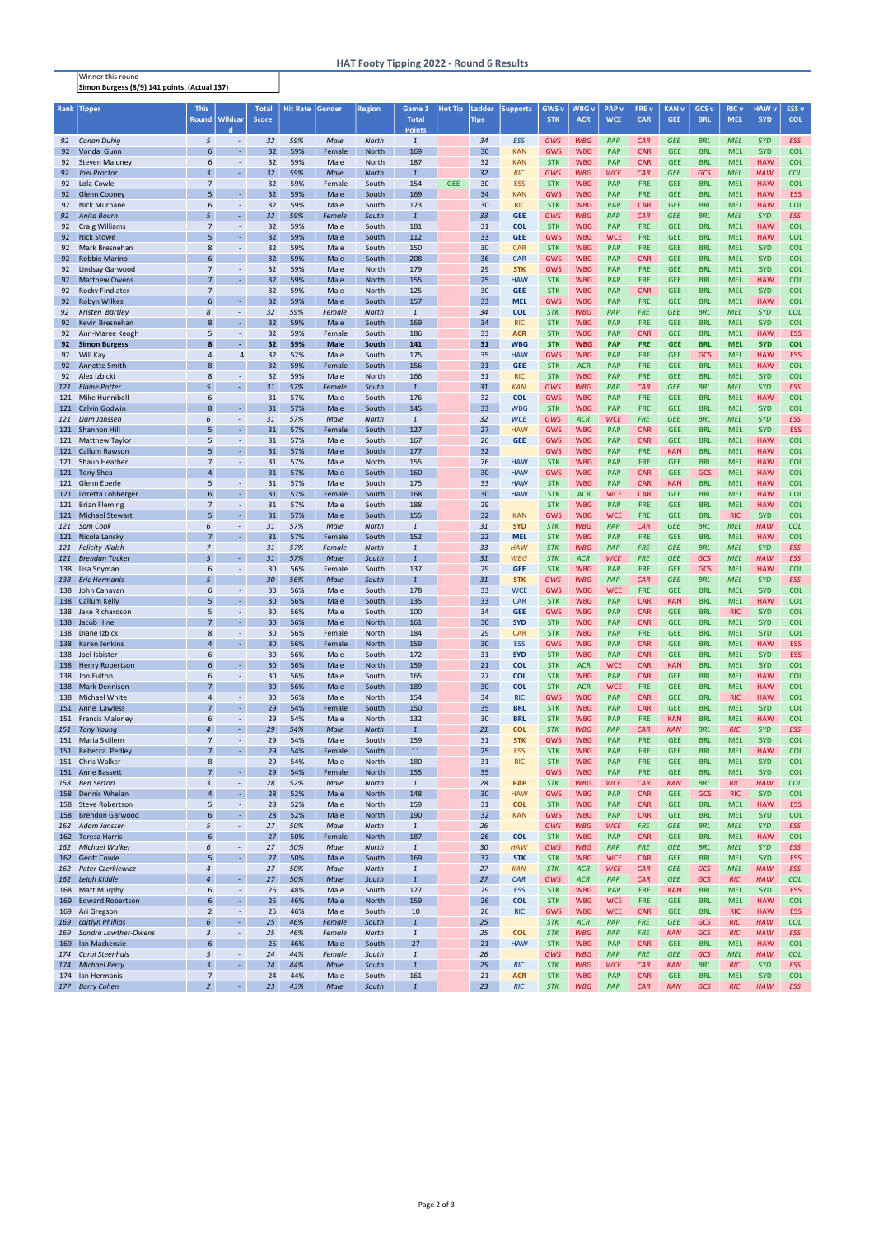## HAT Footy Tipping 2022 - Round 6 Results

Winner this round Simon Burgess (8/9) 141 points. (Actual 137)

| Rank     | <b>Tipper</b>                                | <b>This</b>                      |                                      | <b>Total</b> | <b>Hit Rate</b> | Gender         | <b>Region</b>         | Game 1                | <b>Hot Tip</b> | Ladder          | <b>Supports</b>          | GWS <sub>v</sub>         | WBG v                    | <b>PAP</b> v             | FRE v                    | <b>KAN v</b>             | GCS <sub>v</sub>         | <b>RIC v</b>             | <b>HAW v</b>             | ESS <sub>v</sub>         |
|----------|----------------------------------------------|----------------------------------|--------------------------------------|--------------|-----------------|----------------|-----------------------|-----------------------|----------------|-----------------|--------------------------|--------------------------|--------------------------|--------------------------|--------------------------|--------------------------|--------------------------|--------------------------|--------------------------|--------------------------|
|          |                                              | <b>Round</b>                     | <b>Wildcar</b>                       | <b>Score</b> |                 |                |                       | <b>Total</b>          |                | <b>Tips</b>     |                          | <b>STK</b>               | <b>ACR</b>               | <b>WCE</b>               | <b>CAR</b>               | <b>GEE</b>               | <b>BRL</b>               | <b>MEL</b>               | <b>SYD</b>               | <b>COL</b>               |
|          |                                              |                                  | d.                                   |              |                 |                |                       | <b>Points</b>         |                |                 |                          |                          |                          |                          |                          |                          |                          |                          |                          |                          |
| 92       | <b>Conan Duhiq</b>                           | 5<br>6                           | $\overline{\phantom{a}}$             | 32           | 59%             | Male           | <b>North</b>          | $\overline{1}$        |                | 34              | <b>ESS</b>               | GWS                      | <b>WBG</b>               | PAP                      | CAR                      | <b>GEE</b>               | <b>BRL</b>               | <b>MEL</b>               | <b>SYD</b>               | <b>ESS</b>               |
| 92       | Vonda Gunn                                   | 6                                | $\sim$                               | 32           | 59%             | Female         | <b>North</b>          | 169                   |                | 30<br>32        | <b>KAN</b>               | GWS<br><b>STK</b>        | <b>WBG</b><br><b>WBG</b> | <b>PAP</b><br><b>PAP</b> | <b>CAR</b><br><b>CAR</b> | <b>GEE</b><br><b>GEE</b> | <b>BRL</b><br><b>BRL</b> | <b>MEL</b><br><b>MEL</b> | <b>SYD</b><br><b>HAW</b> | <b>COL</b><br><b>COL</b> |
| 92<br>92 | <b>Steven Maloney</b><br><b>Joel Proctor</b> | $\overline{3}$                   | $\overline{\phantom{a}}$             | 32<br>32     | 59%<br>59%      | Male<br>Male   | North<br><b>North</b> | 187<br>$\overline{1}$ |                | 32              | <b>KAN</b><br><b>RIC</b> | GWS                      | <b>WBG</b>               | <b>WCE</b>               | CAR                      | <b>GEE</b>               | GCS                      | <b>MEL</b>               | <b>HAW</b>               | <b>COL</b>               |
| 92       | Lola Cowle                                   | $\overline{7}$                   | $\sim$                               | 32           | 59%             | Female         | South                 | 154                   | <b>GEE</b>     | 30              | <b>ESS</b>               | <b>STK</b>               | <b>WBG</b>               | <b>PAP</b>               | <b>FRE</b>               | <b>GEE</b>               | <b>BRL</b>               | <b>MEL</b>               | <b>HAW</b>               | <b>COL</b>               |
| 92       | <b>Glenn Cooney</b>                          |                                  |                                      | 32           | 59%             | Male           | South                 | 169                   |                | 34              | <b>KAN</b>               | GWS                      | <b>WBG</b>               | <b>PAP</b>               | <b>FRE</b>               | <b>GEE</b>               | <b>BRL</b>               | <b>MEL</b>               | <b>HAW</b>               | <b>ESS</b>               |
| 92       | <b>Nick Murnane</b>                          | 6                                |                                      | 32           | 59%             | Male           | South                 | 173                   |                | 30              | <b>RIC</b>               | <b>STK</b>               | <b>WBG</b>               | <b>PAP</b>               | <b>CAR</b>               | <b>GEE</b>               | <b>BRL</b>               | <b>MEL</b>               | <b>HAW</b>               | <b>COL</b>               |
| 92       | <b>Anita Bourn</b>                           | 5                                | $\sim$                               | 32           | 59%             | Female         | South                 | $\overline{1}$        |                | 33              | <b>GEE</b>               | GWS                      | <b>WBG</b>               | PAP                      | CAR                      | <b>GEE</b>               | <b>BRL</b>               | <b>MEL</b>               | <b>SYD</b>               | <b>ESS</b>               |
| 92       | <b>Craig Williams</b>                        | $\overline{7}$                   | $\overline{\phantom{a}}$             | 32           | 59%             | Male           | South                 | 181                   |                | 31              | <b>COL</b>               | <b>STK</b>               | <b>WBG</b>               | <b>PAP</b>               | <b>FRE</b>               | <b>GEE</b>               | <b>BRL</b>               | <b>MEL</b>               | <b>HAW</b>               | <b>COL</b>               |
| 92       | <b>Nick Stowe</b>                            | 5                                | $\sim$                               | 32           | 59%             | Male           | South                 | 112                   |                | 33              | <b>GEE</b>               | GWS                      | <b>WBG</b>               | <b>WCE</b>               | <b>FRE</b>               | <b>GEE</b>               | <b>BRL</b>               | <b>MEL</b>               | <b>HAW</b>               | <b>COL</b>               |
| 92       | Mark Bresnehan                               | 8                                | $\overline{\phantom{a}}$             | 32           | 59%             | Male           | South                 | 150                   |                | 30              | <b>CAR</b>               | <b>STK</b>               | <b>WBG</b>               | <b>PAP</b>               | <b>FRE</b>               | <b>GEE</b>               | <b>BRL</b>               | <b>MEL</b>               | <b>SYD</b>               | <b>COL</b>               |
| 92       | <b>Robbie Marino</b>                         | $6\overline{6}$                  | $\sim$                               | 32           | 59%             | Male           | South                 | 208                   |                | 36              | <b>CAR</b>               | <b>GWS</b>               | <b>WBG</b>               | <b>PAP</b>               | <b>CAR</b>               | <b>GEE</b>               | <b>BRL</b>               | <b>MEL</b>               | <b>SYD</b>               | <b>COL</b>               |
| 92       | <b>Lindsay Garwood</b>                       | $\overline{7}$                   | $\overline{\phantom{a}}$             | 32           | 59%             | Male           | North                 | 179                   |                | 29              | <b>STK</b>               | <b>GWS</b>               | <b>WBG</b>               | <b>PAP</b>               | <b>FRE</b>               | <b>GEE</b>               | <b>BRL</b>               | <b>MEL</b>               | <b>SYD</b>               | <b>COL</b>               |
| 92       | <b>Matthew Owens</b>                         | $\overline{7}$                   |                                      | 32           | 59%             | Male           | <b>North</b>          | 155                   |                | 25              | <b>HAW</b>               | <b>STK</b>               | <b>WBG</b>               | <b>PAP</b>               | <b>FRE</b>               | <b>GEE</b>               | <b>BRL</b>               | <b>MEL</b>               | <b>HAW</b>               | <b>COL</b>               |
| 92       | <b>Rocky Findlater</b>                       | $\overline{7}$                   |                                      | 32           | 59%             | Male           | North                 | 125                   |                | 30              | <b>GEE</b>               | <b>STK</b>               | <b>WBG</b>               | <b>PAP</b>               | <b>CAR</b>               | <b>GEE</b>               | <b>BRL</b>               | <b>MEL</b>               | <b>SYD</b>               | <b>COL</b>               |
| 92       | Robyn Wilkes                                 | 6                                | $\sim$                               | 32           | 59%             | Male           | South                 | 157                   |                | 33              | <b>MEL</b>               | <b>GWS</b>               | <b>WBG</b>               | <b>PAP</b>               | <b>FRE</b>               | <b>GEE</b>               | <b>BRL</b>               | <b>MEL</b>               | <b>HAW</b>               | <b>COL</b>               |
| 92       | Kristen Bartley                              | 8                                | $\overline{\phantom{a}}$             | 32           | 59%             | Female         | <b>North</b>          | $\overline{1}$        |                | 34              | <b>COL</b>               | <b>STK</b>               | <b>WBG</b>               | PAP                      | <b>FRE</b>               | <b>GEE</b>               | <b>BRL</b>               | <b>MEL</b>               | <b>SYD</b>               | <b>COL</b>               |
| 92       | Kevin Bresnehan                              | $\mathbf{8}$                     | $\sim$                               | 32           | 59%             | Male           | South                 | 169                   |                | 34              | <b>RIC</b>               | <b>STK</b>               | <b>WBG</b>               | <b>PAP</b>               | <b>FRE</b>               | <b>GEE</b>               | <b>BRL</b>               | <b>MEL</b>               | <b>SYD</b>               | <b>COL</b>               |
| 92       | Ann-Maree Keogh                              | 5                                | $\sim$                               | 32           | 59%             | Female         | South                 | 186                   |                | 33              | <b>ACR</b>               | <b>STK</b>               | <b>WBG</b>               | <b>PAP</b>               | <b>CAR</b>               | <b>GEE</b>               | <b>BRL</b>               | <b>MEL</b>               | <b>HAW</b>               | <b>ESS</b>               |
| 92       | <b>Simon Burgess</b><br>Will Kay             |                                  |                                      | 32<br>32     | 59%             | <b>Male</b>    | South                 | 141                   |                | 31<br>35        | <b>WBG</b>               | <b>STK</b><br><b>GWS</b> | <b>WBG</b>               | <b>PAP</b>               | <b>FRE</b>               | <b>GEE</b>               | <b>BRL</b>               | <b>MEL</b>               | <b>SYD</b>               | <b>COL</b>               |
| 92<br>92 | <b>Annette Smith</b>                         | 4                                | 4                                    | 32           | 52%<br>59%      | Male           | South<br>South        | 175<br>156            |                | 31              | <b>HAW</b><br><b>GEE</b> | <b>STK</b>               | <b>WBG</b><br><b>ACR</b> | <b>PAP</b><br><b>PAP</b> | <b>FRE</b><br><b>FRE</b> | <b>GEE</b><br><b>GEE</b> | <b>GCS</b><br><b>BRL</b> | <b>MEL</b><br><b>MEL</b> | <b>HAW</b><br><b>HAW</b> | <b>ESS</b><br><b>COL</b> |
| 92       | Alex Izbicki                                 | 8                                |                                      | 32           | 59%             | Female<br>Male | North                 | 166                   |                | 31              | <b>RIC</b>               | <b>STK</b>               | <b>WBG</b>               | PAP                      | <b>FRE</b>               | <b>GEE</b>               | <b>BRL</b>               | <b>MEL</b>               | <b>SYD</b>               | <b>COL</b>               |
| 121      | <b>Elaine Potter</b>                         | 5                                |                                      | 31           | 57%             | Female         | South                 | $\mathbf{1}$          |                | 31              | <b>KAN</b>               | <b>GWS</b>               | <b>WBG</b>               | PAP                      | <b>CAR</b>               | <b>GEE</b>               | <b>BRL</b>               | <b>MEL</b>               | <b>SYD</b>               | <b>ESS</b>               |
|          | 121 Mike Hunnibell                           | 6                                |                                      | 31           | 57%             | Male           | South                 | 176                   |                | 32              | <b>COL</b>               | <b>GWS</b>               | <b>WBG</b>               | <b>PAP</b>               | <b>FRE</b>               | <b>GEE</b>               | <b>BRL</b>               | <b>MEL</b>               | <b>HAW</b>               | <b>COL</b>               |
| 121      | <b>Calvin Godwin</b>                         | $\mathbf{8}$                     | $\sim$                               | 31           | 57%             | Male           | South                 | 145                   |                | 33              | <b>WBG</b>               | <b>STK</b>               | <b>WBG</b>               | <b>PAP</b>               | <b>FRE</b>               | <b>GEE</b>               | <b>BRL</b>               | <b>MEL</b>               | <b>SYD</b>               | <b>COL</b>               |
| 121      | Liam Janssen                                 | 6                                | $\sim$                               | 31           | 57%             | Male           | <b>North</b>          | $\overline{1}$        |                | 32              | <b>WCE</b>               | GWS                      | <b>ACR</b>               | <b>WCE</b>               | <b>FRE</b>               | <b>GEE</b>               | <b>BRL</b>               | <b>MEL</b>               | <b>SYD</b>               | <b>ESS</b>               |
|          | 121 Shannon Hill                             | 5                                | $\sim$                               | 31           | 57%             | Female         | South                 | 127                   |                | 27              | <b>HAW</b>               | <b>GWS</b>               | <b>WBG</b>               | <b>PAP</b>               | <b>CAR</b>               | <b>GEE</b>               | <b>BRL</b>               | <b>MEL</b>               | <b>SYD</b>               | <b>ESS</b>               |
|          | 121 Matthew Taylor                           | 5                                |                                      | 31           | 57%             | Male           | South                 | 167                   |                | 26              | <b>GEE</b>               | <b>GWS</b>               | <b>WBG</b>               | <b>PAP</b>               | <b>CAR</b>               | <b>GEE</b>               | <b>BRL</b>               | <b>MEL</b>               | <b>HAW</b>               | <b>COL</b>               |
|          | 121 Callum Rawson                            | 5                                | $\sim$                               | 31           | 57%             | Male           | South                 | 177                   |                | 32              |                          | <b>GWS</b>               | <b>WBG</b>               | <b>PAP</b>               | <b>FRE</b>               | <b>KAN</b>               | <b>BRL</b>               | <b>MEL</b>               | <b>HAW</b>               | <b>COL</b>               |
|          | 121 Shaun Heather                            | $\overline{7}$                   |                                      | 31           | 57%             | Male           | North                 | 155                   |                | 26              | <b>HAW</b>               | <b>STK</b>               | <b>WBG</b>               | <b>PAP</b>               | <b>FRE</b>               | <b>GEE</b>               | <b>BRL</b>               | <b>MEL</b>               | <b>HAW</b>               | <b>COL</b>               |
|          | 121 Tony Shea                                | $\overline{a}$                   |                                      | 31           | 57%             | Male           | South                 | 160                   |                | 30              | <b>HAW</b>               | <b>GWS</b>               | <b>WBG</b>               | <b>PAP</b>               | <b>CAR</b>               | <b>GEE</b>               | <b>GCS</b>               | <b>MEL</b>               | <b>HAW</b>               | <b>COL</b>               |
|          | 121 Glenn Eberle                             | 5                                | $\sim$                               | 31           | 57%             | Male           | South                 | 175                   |                | 33              | <b>HAW</b>               | <b>STK</b>               | <b>WBG</b>               | <b>PAP</b>               | <b>CAR</b>               | <b>KAN</b>               | <b>BRL</b>               | <b>MEL</b>               | <b>HAW</b>               | <b>COL</b>               |
|          | 121 Loretta Lohberger                        | 6                                | $\sim$                               | 31           | 57%             | Female         | South                 | 168                   |                | 30              | <b>HAW</b>               | <b>STK</b>               | <b>ACR</b>               | <b>WCE</b>               | <b>CAR</b>               | <b>GEE</b>               | <b>BRL</b>               | <b>MEL</b>               | <b>HAW</b>               | <b>COL</b>               |
| 121      | <b>Brian Fleming</b>                         | $\overline{7}$                   | $\sim$                               | 31           | 57%             | Male           | South                 | 188                   |                | 29              |                          | <b>STK</b>               | <b>WBG</b>               | <b>PAP</b>               | <b>FRE</b>               | <b>GEE</b>               | <b>BRL</b>               | <b>MEL</b>               | <b>HAW</b>               | <b>COL</b>               |
|          | 121 Michael Stewart                          | 5                                |                                      | 31           | 57%             | Male           | South                 | 155                   |                | 32              | <b>KAN</b>               | GWS                      | <b>WBG</b>               | <b>WCE</b>               | <b>FRE</b>               | <b>GEE</b>               | <b>BRL</b>               | <b>RIC</b>               | <b>SYD</b>               | <b>COL</b>               |
|          | 121 Sam Cook                                 | 6                                | $\overline{\phantom{a}}$             | 31           | 57%             | Male           | North                 | $\overline{1}$        |                | 31              | <b>SYD</b>               | <b>STK</b>               | <b>WBG</b>               | PAP                      | CAR                      | <b>GEE</b>               | <b>BRL</b>               | <b>MEL</b>               | <b>HAW</b>               | <b>COL</b>               |
|          | 121 Nicole Lansky                            | $\overline{7}$                   |                                      | 31           | 57%             | Female         | South                 | 152                   |                | 22              | <b>MEL</b>               | <b>STK</b>               | <b>WBG</b>               | <b>PAP</b>               | <b>FRE</b>               | <b>GEE</b>               | <b>BRL</b>               | <b>MEL</b>               | <b>HAW</b>               | <b>COL</b>               |
|          | 121 Felicity Walsh<br>121 Brendan Tucker     | $\overline{z}$<br>5              | $\overline{\phantom{a}}$             | 31<br>31     | 57%<br>57%      | Female<br>Male | <b>North</b><br>South | $\mathbf{1}$          |                | 33<br>31        | <b>HAW</b><br><b>WBG</b> | <b>STK</b><br><b>STK</b> | <b>WBG</b><br><b>ACR</b> | PAP<br><b>WCE</b>        | <b>FRE</b><br><b>FRE</b> | <b>GEE</b><br><b>GEE</b> | <b>BRL</b><br><b>GCS</b> | <b>MEL</b><br><b>MEL</b> | <b>SYD</b><br><b>HAW</b> | <b>ESS</b><br><b>ESS</b> |
|          | 138 Lisa Snyman                              | $\boldsymbol{6}$                 |                                      | 30           | 56%             | Female         | South                 | 137                   |                | 29              | <b>GEE</b>               | <b>STK</b>               | <b>WBG</b>               | <b>PAP</b>               | <b>FRE</b>               | <b>GEE</b>               | <b>GCS</b>               | <b>MEL</b>               | <b>HAW</b>               | <b>COL</b>               |
|          | 138 Eric Hermanis                            | 5                                | ٠                                    | 30           | 56%             | Male           | South                 | $\overline{1}$        |                | 31              | <b>STK</b>               | GWS                      | <b>WBG</b>               | PAP                      | CAR                      | <b>GEE</b>               | <b>BRL</b>               | <b>MEL</b>               | <b>SYD</b>               | <b>ESS</b>               |
|          | 138 John Canavan                             | 6                                | $\sim$                               | 30           | 56%             | Male           | South                 | 178                   |                | 33              | <b>WCE</b>               | <b>GWS</b>               | <b>WBG</b>               | <b>WCE</b>               | <b>FRE</b>               | <b>GEE</b>               | <b>BRL</b>               | <b>MEL</b>               | <b>SYD</b>               | <b>COL</b>               |
|          | 138 Callum Kelly                             | 5                                | $\omega$                             | 30           | 56%             | Male           | South                 | 135                   |                | 33              | <b>CAR</b>               | <b>STK</b>               | <b>WBG</b>               | <b>PAP</b>               | <b>CAR</b>               | <b>KAN</b>               | <b>BRL</b>               | <b>MEL</b>               | <b>HAW</b>               | <b>COL</b>               |
|          | 138 Jake Richardson                          | 5                                | $\sim$                               | 30           | 56%             | Male           | South                 | 100                   |                | 34              | <b>GEE</b>               | <b>GWS</b>               | <b>WBG</b>               | <b>PAP</b>               | <b>CAR</b>               | <b>GEE</b>               | <b>BRL</b>               | <b>RIC</b>               | <b>SYD</b>               | <b>COL</b>               |
|          | 138 Jacob Hine                               | $\overline{7}$                   | $\mathbb{Z}^2$                       | 30           | 56%             | Male           | North                 | 161                   |                | 30              | <b>SYD</b>               | <b>STK</b>               | <b>WBG</b>               | <b>PAP</b>               | <b>CAR</b>               | <b>GEE</b>               | <b>BRL</b>               | <b>MEL</b>               | <b>SYD</b>               | <b>COL</b>               |
|          | 138 Diane Izbicki                            | 8                                | $\overline{\phantom{a}}$             | 30           | 56%             | Female         | North                 | 184                   |                | 29              | <b>CAR</b>               | <b>STK</b>               | <b>WBG</b>               | <b>PAP</b>               | <b>FRE</b>               | <b>GEE</b>               | <b>BRL</b>               | <b>MEL</b>               | <b>SYD</b>               | <b>COL</b>               |
|          | 138 Karen Jenkins                            | $\overline{4}$                   | $\mathbb{Z}^2$                       | 30           | 56%             | Female         | North                 | 159                   |                | 30              | <b>ESS</b>               | <b>GWS</b>               | <b>WBG</b>               | <b>PAP</b>               | <b>CAR</b>               | <b>GEE</b>               | <b>BRL</b>               | <b>MEL</b>               | <b>HAW</b>               | <b>ESS</b>               |
|          | 138 Joel Isbister                            | 6                                | $\overline{\phantom{a}}$             | 30           | 56%             | Male           | South                 | 172                   |                | 31              | <b>SYD</b>               | <b>STK</b>               | <b>WBG</b>               | <b>PAP</b>               | <b>CAR</b>               | <b>GEE</b>               | <b>BRL</b>               | <b>MEL</b>               | <b>SYD</b>               | <b>ESS</b>               |
|          | 138 Henry Robertson                          | 6                                | $\sim$                               | 30           | 56%             | Male           | North                 | 159                   |                | 21              | <b>COL</b>               | <b>STK</b>               | <b>ACR</b>               | <b>WCE</b>               | <b>CAR</b>               | <b>KAN</b>               | <b>BRL</b>               | <b>MEL</b>               | <b>SYD</b>               | <b>COL</b>               |
|          | 138 Jon Fulton                               | 6                                | $\blacksquare$                       | 30           | 56%             | Male           | South                 | 165                   |                | 27              | <b>COL</b>               | <b>STK</b>               | <b>WBG</b>               | <b>PAP</b>               | <b>CAR</b>               | <b>GEE</b>               | <b>BRL</b>               | <b>MEL</b>               | <b>HAW</b>               | <b>COL</b>               |
|          | 138 Mark Dennison                            | $\overline{7}$                   | $\omega$                             | 30           | 56%             | Male           | South                 | 189                   |                | 30 <sup>2</sup> | <b>COL</b>               | <b>STK</b>               | <b>ACR</b>               | <b>WCE</b>               | <b>FRE</b>               | <b>GEE</b>               | <b>BRL</b>               | <b>MEL</b>               | <b>HAW</b>               | <b>COL</b>               |
|          | 138 Michael White                            | $\overline{4}$                   | $\sim$                               | 30           | 56%             | Male           | North                 | 154                   |                | 34              | <b>RIC</b>               | <b>GWS</b>               | <b>WBG</b>               | <b>PAP</b>               | <b>CAR</b>               | <b>GEE</b>               | <b>BRL</b>               | <b>RIC</b>               | <b>HAW</b>               | <b>COL</b>               |
|          | 151 Anne Lawless                             | $\overline{7}$                   | $\omega$                             | 29           | 54%             | Female         | South                 | 150                   |                | 35              | <b>BRL</b>               | <b>STK</b>               | <b>WBG</b>               | <b>PAP</b>               | <b>CAR</b>               | <b>GEE</b>               | <b>BRL</b>               | <b>MEL</b>               | <b>SYD</b>               | <b>COL</b>               |
|          | 151 Francis Maloney                          | 6                                | $\sim$                               | 29           | 54%             | Male           | North                 | 132                   |                | 30              | <b>BRL</b>               | <b>STK</b>               | <b>WBG</b>               | <b>PAP</b>               | <b>FRE</b>               | <b>KAN</b>               | <b>BRL</b>               | <b>MEL</b>               | <b>HAW</b>               | <b>COL</b>               |
| 151      | <b>Tony Young</b><br>151 Maria Skillern      | $\overline{4}$<br>$\overline{7}$ | $\blacksquare$                       | 29<br>29     | 54%             | Male           | <b>North</b>          | $\overline{1}$        |                | 21<br>31        | <b>COL</b>               | <b>STK</b>               | <b>WBG</b>               | PAP                      | CAR                      | <b>KAN</b>               | <b>BRL</b>               | <b>RIC</b>               | <b>SYD</b>               | <b>ESS</b><br><b>COL</b> |
|          | 151 Rebecca Pedley                           | $\overline{7}$                   | $\overline{\phantom{a}}$<br>$\omega$ | 29           | 54%<br>54%      | Male<br>Female | South<br>South        | 159<br>11             |                | 25              | <b>STK</b><br><b>ESS</b> | <b>GWS</b><br><b>STK</b> | <b>WBG</b><br><b>WBG</b> | <b>PAP</b><br><b>PAP</b> | <b>FRE</b><br><b>FRE</b> | <b>GEE</b><br><b>GEE</b> | <b>BRL</b><br><b>BRL</b> | <b>MEL</b><br><b>MEL</b> | <b>SYD</b><br><b>HAW</b> | <b>COL</b>               |
|          | 151 Chris Walker                             | 8                                | $\overline{\phantom{a}}$             | 29           | 54%             | Male           | North                 | 180                   |                | 31              | <b>RIC</b>               | <b>STK</b>               | <b>WBG</b>               | <b>PAP</b>               | <b>FRE</b>               | <b>GEE</b>               | <b>BRL</b>               | <b>MEL</b>               | <b>SYD</b>               | <b>COL</b>               |
|          | 151 Anne Bassett                             | $\overline{7}$                   | $\omega$                             | 29           | 54%             | Female         | North                 | 155                   |                | 35              |                          | <b>GWS</b>               | <b>WBG</b>               | <b>PAP</b>               | <b>FRE</b>               | <b>GEE</b>               | <b>BRL</b>               | <b>MEL</b>               | <b>SYD</b>               | <b>COL</b>               |
| 158      | <b>Ben Sertori</b>                           | 3                                | $\blacksquare$                       | 28           | 52%             | Male           | <b>North</b>          | $\mathbf{1}$          |                | 28              | <b>PAP</b>               | <b>STK</b>               | <b>WBG</b>               | <b>WCE</b>               | <b>CAR</b>               | <b>KAN</b>               | <b>BRL</b>               | <b>RIC</b>               | <b>HAW</b>               | <b>COL</b>               |
|          | 158 Dennis Whelan                            | $\overline{4}$                   | $\mathbb{Z}^2$                       | 28           | 52%             | Male           | North                 | 148                   |                | 30 <sup>2</sup> | <b>HAW</b>               | <b>GWS</b>               | <b>WBG</b>               | <b>PAP</b>               | <b>CAR</b>               | <b>GEE</b>               | <b>GCS</b>               | <b>RIC</b>               | <b>SYD</b>               | <b>COL</b>               |
| 158      | <b>Steve Robertson</b>                       | 5                                | $\overline{\phantom{a}}$             | 28           | 52%             | Male           | North                 | 159                   |                | 31              | <b>COL</b>               | <b>STK</b>               | <b>WBG</b>               | <b>PAP</b>               | <b>CAR</b>               | <b>GEE</b>               | <b>BRL</b>               | <b>MEL</b>               | <b>HAW</b>               | <b>ESS</b>               |
| 158      | <b>Brendon Garwood</b>                       | $6\overline{6}$                  | $\sim$                               | 28           | 52%             | Male           | North                 | 190                   |                | 32              | <b>KAN</b>               | <b>GWS</b>               | <b>WBG</b>               | <b>PAP</b>               | <b>CAR</b>               | <b>GEE</b>               | <b>BRL</b>               | <b>MEL</b>               | <b>SYD</b>               | <b>COL</b>               |
|          | 162 Adam Janssen                             | 5                                | $\blacksquare$                       | 27           | 50%             | Male           | <b>North</b>          | $\mathbf{1}$          |                | 26              |                          | <b>GWS</b>               | <b>WBG</b>               | <b>WCE</b>               | <b>FRE</b>               | <b>GEE</b>               | <b>BRL</b>               | <b>MEL</b>               | <b>SYD</b>               | <b>ESS</b>               |
|          | 162 Teresa Harris                            | 6                                | $\sim$                               | 27           | 50%             | Female         | North                 | 187                   |                | 26              | <b>COL</b>               | <b>STK</b>               | <b>WBG</b>               | <b>PAP</b>               | <b>CAR</b>               | <b>GEE</b>               | <b>BRL</b>               | <b>MEL</b>               | <b>HAW</b>               | <b>COL</b>               |
| 162      | <b>Michael Walker</b>                        | 6                                | $\overline{\phantom{a}}$             | 27           | 50%             | Male           | <b>North</b>          | $\mathbf{1}$          |                | 30              | <b>HAW</b>               | GWS                      | <b>WBG</b>               | PAP                      | <b>FRE</b>               | <b>GEE</b>               | <b>BRL</b>               | <b>MEL</b>               | <b>SYD</b>               | <b>ESS</b>               |
|          | 162 Geoff Cowle                              | 5                                | $\sim$                               | 27           | 50%             | Male           | South                 | 169                   |                | 32              | <b>STK</b>               | <b>STK</b>               | <b>WBG</b>               | <b>WCE</b>               | <b>CAR</b>               | <b>GEE</b>               | <b>BRL</b>               | <b>MEL</b>               | <b>SYD</b>               | <b>ESS</b>               |
| 162      | <b>Peter Czerkiewicz</b>                     | $\overline{4}$                   | $\overline{\phantom{a}}$             | 27           | 50%             | Male           | <b>North</b>          | $\overline{1}$        |                | 27              | <b>KAN</b>               | <b>STK</b>               | <b>ACR</b>               | <b>WCE</b>               | CAR                      | <b>GEE</b>               | <b>GCS</b>               | <b>MEL</b>               | <b>HAW</b>               | <b>ESS</b>               |
| 162      | Leigh Kiddle                                 | $\overline{A}$                   | $\sim$                               | 27           | 50%             | Male           | South                 | $\overline{1}$        |                | 27              | <b>CAR</b>               | GWS                      | <b>ACR</b>               | PAP                      | CAR                      | <b>GEE</b>               | GCS                      | <b>RIC</b>               | <b>HAW</b>               | <b>COL</b>               |
|          | 168 Matt Murphy                              | 6                                | $\overline{\phantom{a}}$             | 26           | 48%             | Male           | South                 | 127                   |                | 29              | <b>ESS</b>               | <b>STK</b>               | <b>WBG</b>               | <b>PAP</b>               | <b>FRE</b>               | <b>KAN</b>               | <b>BRL</b>               | <b>MEL</b>               | <b>SYD</b>               | <b>ESS</b>               |
| 169      | <b>Edward Robertson</b>                      | 6                                | $\sim$                               | 25           | 46%             | Male           | <b>North</b>          | 159                   |                | 26              | <b>COL</b>               | <b>STK</b>               | <b>WBG</b>               | <b>WCE</b>               | <b>FRE</b>               | <b>GEE</b>               | <b>BRL</b>               | <b>MEL</b>               | <b>HAW</b>               | <b>COL</b>               |
|          | 169 Ari Gregson                              | $\overline{2}$                   | $\overline{\phantom{a}}$             | 25           | 46%             | Male           | South                 | 10                    |                | 26              | <b>RIC</b>               | <b>GWS</b>               | <b>WBG</b>               | <b>WCE</b>               | <b>CAR</b>               | <b>GEE</b>               | <b>BRL</b>               | <b>RIC</b>               | <b>HAW</b>               | <b>ESS</b>               |
| 169      | caitlyn Phillips                             | 6                                | ÷.                                   | 25           | 46%             | Female         | South                 | $\overline{1}$        |                | 25              |                          | <b>STK</b>               | <b>ACR</b>               | PAP                      | <b>FRE</b>               | <b>GEE</b>               | <b>GCS</b>               | <b>RIC</b>               | <b>HAW</b>               | <b>COL</b>               |
| 169      | Sandra Lowther-Owens                         | 3<br>6                           | $\overline{\phantom{a}}$             | 25           | 46%             | Female         | <b>North</b>          | $\overline{1}$        |                | 25              | <b>COL</b>               | <b>STK</b>               | <b>WBG</b>               | PAP                      | <b>FRE</b>               | <b>KAN</b>               | GCS                      | <b>RIC</b>               | <b>HAW</b>               | <b>ESS</b>               |
| 169      | Ian Mackenzie                                |                                  | $\omega$                             | 25           | 46%             | Male           | South                 | 27<br>$\overline{1}$  |                | 21              | <b>HAW</b>               | <b>STK</b>               | <b>WBG</b>               | <b>PAP</b>               | <b>CAR</b>               | <b>GEE</b>               | <b>BRL</b>               | <b>MEL</b>               | <b>HAW</b>               | <b>COL</b>               |
| 174      | <b>Carol Steenhuis</b>                       | 5<br>$\overline{3}$              | $\overline{\phantom{a}}$             | 24<br>24     | 44%             | Female         | South                 | $\overline{1}$        |                | 26              |                          | GWS                      | <b>WBG</b>               | PAP                      | <b>FRE</b>               | <b>GEE</b>               | <b>GCS</b>               | <b>MEL</b>               | <b>HAW</b>               | <b>COL</b>               |
|          | 174 Michael Perry<br>174 Ian Hermanis        | 7                                | $\sim$<br>$\overline{\phantom{a}}$   | 24           | 44%<br>44%      | Male<br>Male   | South<br>South        | 161                   |                | 25<br>21        | <b>RIC</b><br><b>ACR</b> | <b>STK</b><br><b>STK</b> | <b>WBG</b><br><b>WBG</b> | <b>WCE</b><br><b>PAP</b> | CAR<br><b>CAR</b>        | <b>KAN</b><br><b>GEE</b> | <b>BRL</b><br><b>BRL</b> | <b>RIC</b><br><b>MEL</b> | <b>SYD</b><br><b>SYD</b> | <b>ESS</b><br><b>COL</b> |
|          | 177 Barry Cohen                              | $\overline{2}$                   | $\omega_{\rm c}$                     | 23           | 43%             | <b>Male</b>    | South                 | $\mathbf{1}$          |                | 23              | <b>RIC</b>               | <b>STK</b>               | <b>WBG</b>               | PAP                      | CAR                      | <b>KAN</b>               | GCS                      | <b>RIC</b>               | <b>HAW</b>               | <b>ESS</b>               |
|          |                                              |                                  |                                      |              |                 |                |                       |                       |                |                 |                          |                          |                          |                          |                          |                          |                          |                          |                          |                          |